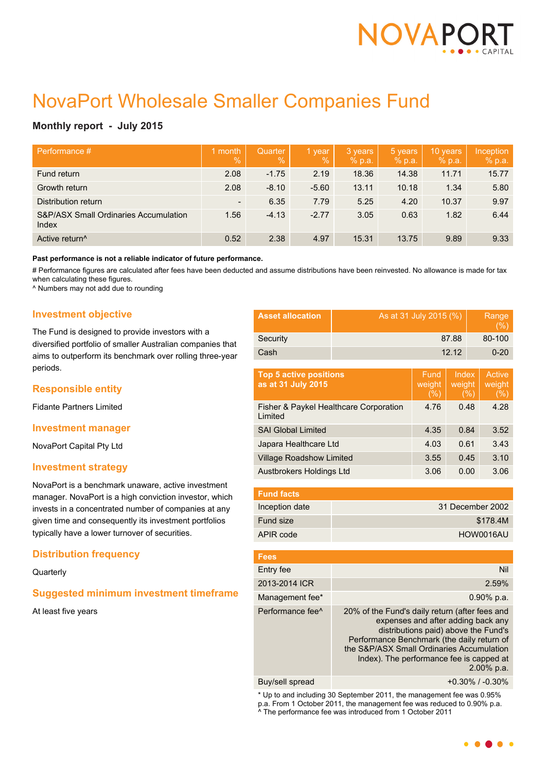

# NovaPort Wholesale Smaller Companies Fund

# **Monthly report - July 2015**

| Performance #                                             | month<br>$\overline{\mathbb{V}}_0$ | <b>Quarter</b><br>$\overline{Q}_0$ | 1 year<br>$\frac{9}{6}$ | 3 years<br>% p.a. | 5 years<br>% p.a. | 10 years<br>% p.a. | Inception<br>% p.a. |
|-----------------------------------------------------------|------------------------------------|------------------------------------|-------------------------|-------------------|-------------------|--------------------|---------------------|
| Fund return                                               | 2.08                               | $-1.75$                            | 2.19                    | 18.36             | 14.38             | 11.71              | 15.77               |
| Growth return                                             | 2.08                               | $-8.10$                            | $-5.60$                 | 13.11             | 10.18             | 1.34               | 5.80                |
| Distribution return                                       | $\overline{\phantom{a}}$           | 6.35                               | 7.79                    | 5.25              | 4.20              | 10.37              | 9.97                |
| <b>S&amp;P/ASX Small Ordinaries Accumulation</b><br>Index | 1.56                               | $-4.13$                            | $-2.77$                 | 3.05              | 0.63              | 1.82               | 6.44                |
| Active return <sup>^</sup>                                | 0.52                               | 2.38                               | 4.97                    | 15.31             | 13.75             | 9.89               | 9.33                |

**Past performance is not a reliable indicator of future performance.**

# Performance figures are calculated after fees have been deducted and assume distributions have been reinvested. No allowance is made for tax when calculating these figures.

^ Numbers may not add due to rounding

## **Investment objective**

The Fund is designed to provide investors with a diversified portfolio of smaller Australian companies that aims to outperform its benchmark over rolling three-year periods.

# **Responsible entity**

Fidante Partners Limited

## **Investment manager**

NovaPort Capital Pty Ltd

## **Investment strategy**

NovaPort is a benchmark unaware, active investment manager. NovaPort is a high conviction investor, which invests in a concentrated number of companies at any given time and consequently its investment portfolios typically have a lower turnover of securities.

# **Distribution frequency**

**Quarterly** 

# **Suggested minimum investment timeframe**

At least five years

| <b>Asset allocation</b> | As at 31 July 2015 (%) | Range<br>(% ) |
|-------------------------|------------------------|---------------|
| Security                | 87.88                  | 80-100        |
| Cash                    | 12.12                  | $0 - 20$      |

| <b>Top 5 active positions</b><br>as at 31 July 2015 | Fund<br>weight<br>(% ) | Index<br>weight<br>(%) | Active<br>weight<br>(%) |
|-----------------------------------------------------|------------------------|------------------------|-------------------------|
| Fisher & Paykel Healthcare Corporation<br>Limited   | 4.76                   | 0.48                   | 4.28                    |
| <b>SAI Global Limited</b>                           | 4.35                   | 0.84                   | 3.52                    |
| Japara Healthcare Ltd                               | 4.03                   | 0.61                   | 3.43                    |
| <b>Village Roadshow Limited</b>                     | 3.55                   | 0.45                   | 3.10                    |
| Austbrokers Holdings Ltd                            | 3.06                   | 0.00                   | 3.06                    |
|                                                     |                        |                        |                         |

| <b>Fund facts</b> |                  |
|-------------------|------------------|
| Inception date    | 31 December 2002 |
| <b>Fund size</b>  | \$178.4M         |
| APIR code         | HOW0016AU        |

| <b>Fees</b>                  |                                                                                                                                                                                                                                                                                      |
|------------------------------|--------------------------------------------------------------------------------------------------------------------------------------------------------------------------------------------------------------------------------------------------------------------------------------|
| Entry fee                    | Nil                                                                                                                                                                                                                                                                                  |
| 2013-2014 ICR                | 2.59%                                                                                                                                                                                                                                                                                |
| Management fee*              | $0.90\%$ p.a.                                                                                                                                                                                                                                                                        |
| Performance fee <sup>^</sup> | 20% of the Fund's daily return (after fees and<br>expenses and after adding back any<br>distributions paid) above the Fund's<br>Performance Benchmark (the daily return of<br>the S&P/ASX Small Ordinaries Accumulation<br>Index). The performance fee is capped at<br>$2.00\%$ p.a. |
|                              |                                                                                                                                                                                                                                                                                      |

Buy/sell spread +0.30% / -0.30%

\* Up to and including 30 September 2011, the management fee was 0.95% p.a. From 1 October 2011, the management fee was reduced to 0.90% p.a. ^ The performance fee was introduced from 1 October 2011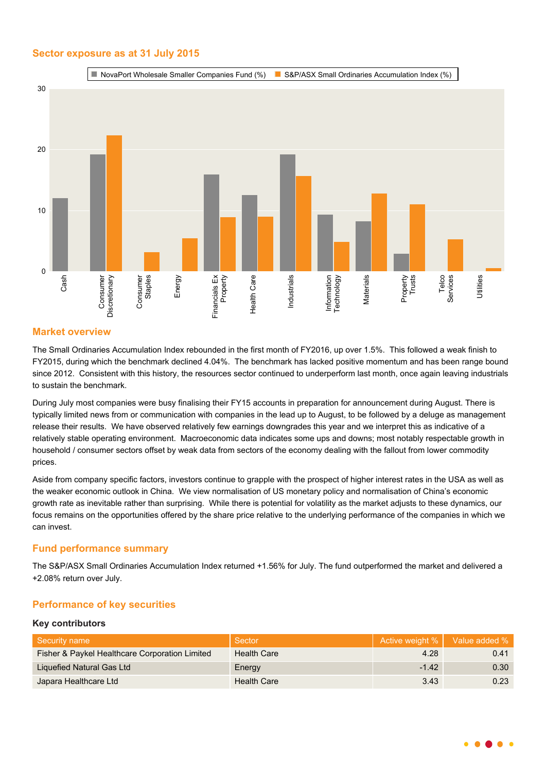# **Sector exposure as at 31 July 2015**



# **Market overview**

The Small Ordinaries Accumulation Index rebounded in the first month of FY2016, up over 1.5%. This followed a weak finish to FY2015, during which the benchmark declined 4.04%. The benchmark has lacked positive momentum and has been range bound since 2012. Consistent with this history, the resources sector continued to underperform last month, once again leaving industrials to sustain the benchmark.

During July most companies were busy finalising their FY15 accounts in preparation for announcement during August. There is typically limited news from or communication with companies in the lead up to August, to be followed by a deluge as management release their results. We have observed relatively few earnings downgrades this year and we interpret this as indicative of a relatively stable operating environment. Macroeconomic data indicates some ups and downs; most notably respectable growth in household / consumer sectors offset by weak data from sectors of the economy dealing with the fallout from lower commodity prices.

Aside from company specific factors, investors continue to grapple with the prospect of higher interest rates in the USA as well as the weaker economic outlook in China. We view normalisation of US monetary policy and normalisation of China's economic growth rate as inevitable rather than surprising. While there is potential for volatility as the market adjusts to these dynamics, our focus remains on the opportunities offered by the share price relative to the underlying performance of the companies in which we can invest.

# **Fund performance summary**

The S&P/ASX Small Ordinaries Accumulation Index returned +1.56% for July. The fund outperformed the market and delivered a +2.08% return over July.

# **Performance of key securities**

#### **Key contributors**

| Security name                                  | Sector             | Active weight %   Value added % |      |
|------------------------------------------------|--------------------|---------------------------------|------|
| Fisher & Paykel Healthcare Corporation Limited | Health Care        | 4.28                            | 0.41 |
| Liquefied Natural Gas Ltd                      | Energy             | $-1.42$                         | 0.30 |
| Japara Healthcare Ltd                          | <b>Health Care</b> | 3.43                            | 0.23 |